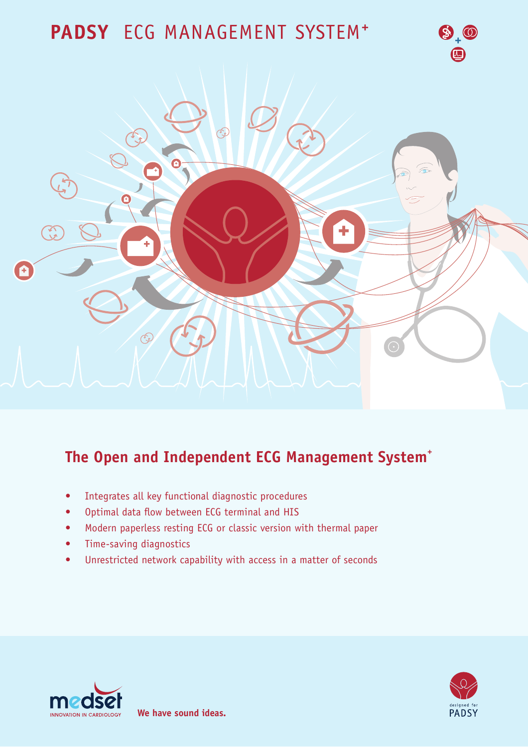# PADSY ECG MANAGEMENT SYSTEM<sup>+</sup>



# The Open and Independent ECG Management System<sup>+</sup>

- Integrates all key functional diagnostic procedures  $\bullet$
- Optimal data flow between ECG terminal and HIS  $\bullet$
- Modern paperless resting ECG or classic version with thermal paper  $\bullet$
- Time-saving diagnostics  $\bullet$
- Unrestricted network capability with access in a matter of seconds  $\bullet$





 $\bigcirc \Phi_+$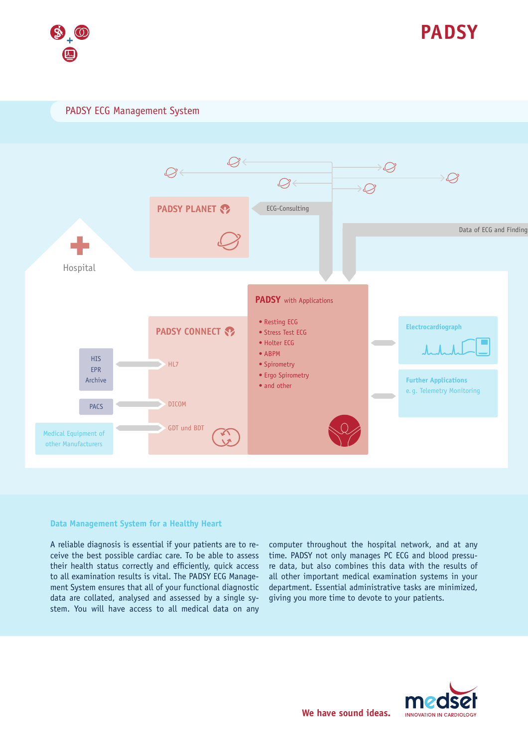



PADSY ECG Management System



### Data Management System for a Healthy Heart

A reliable diagnosis is essential if your patients are to receive the best possible cardiac care. To be able to assess their health status correctly and efficiently, quick access to all examination results is vital. The PADSY ECG Management System ensures that all of your functional diagnostic data are collated, analysed and assessed by a single system. You will have access to all medical data on any computer throughout the hospital network, and at any time. PADSY not only manages PC ECG and blood pressure data, but also combines this data with the results of all other important medical examination systems in your department. Essential administrative tasks are minimized, giving you more time to devote to your patients.

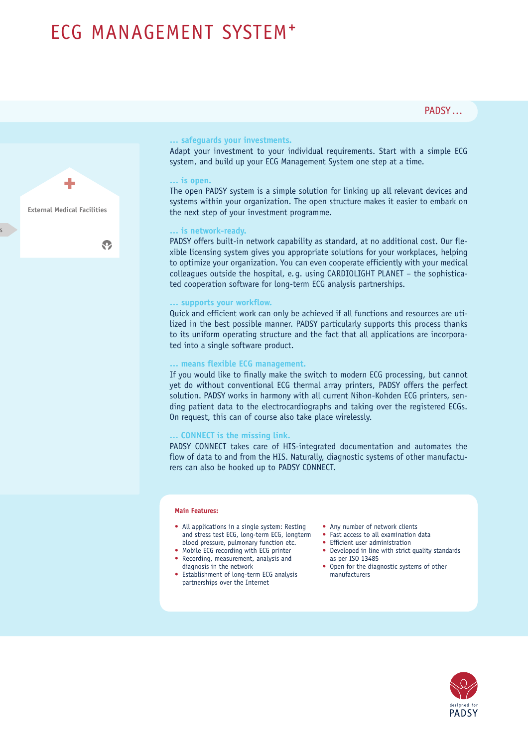# ECG MANAGEMENT SYSTEM<sup>+</sup>



### ... safeguards your investments.

Adapt your investment to your individual requirements. Start with a simple ECG system, and build up your ECG Management System one step at a time.

#### ... is open.

The open PADSY system is a simple solution for linking up all relevant devices and systems within your organization. The open structure makes it easier to embark on the next step of your investment programme.

# ... is network-ready.

PADSY offers built-in network capability as standard, at no additional cost. Our flexible licensing system gives you appropriate solutions for your workplaces, helping to optimize your organization. You can even cooperate efficiently with your medical colleagues outside the hospital, e.g. using CARDIOLIGHT PLANET - the sophisticated cooperation software for long-term ECG analysis partnerships.

#### ... supports your workflow.

Quick and efficient work can only be achieved if all functions and resources are utilized in the best possible manner. PADSY particularly supports this process thanks to its uniform operating structure and the fact that all applications are incorporated into a single software product.

### ... means flexible ECG management.

If you would like to finally make the switch to modern ECG processing, but cannot yet do without conventional ECG thermal array printers, PADSY offers the perfect solution. PADSY works in harmony with all current Nihon-Kohden ECG printers, sending patient data to the electrocardiographs and taking over the registered ECGs. On request, this can of course also take place wirelessly.

#### ... CONNECT is the missing link.

PADSY CONNECT takes care of HIS-integrated documentation and automates the flow of data to and from the HIS. Naturally, diagnostic systems of other manufacturers can also be hooked up to PADSY CONNECT.

#### **Main Features:**

- All applications in a single system: Resting and stress test ECG, long-term ECG, longterm blood pressure, pulmonary function etc.
- Mobile ECG recording with ECG printer
- Recording, measurement, analysis and diagnosis in the network
- Establishment of long-term ECG analysis partnerships over the Internet
- Any number of network clients
- Fast access to all examination data
- Efficient user administration
- Developed in line with strict quality standards as ner ISO 13485
- Open for the diagnostic systems of other manufacturers